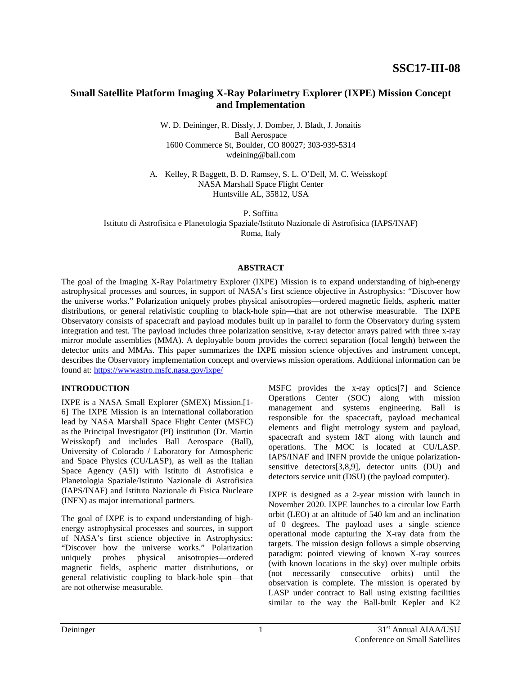# **Small Satellite Platform Imaging X-Ray Polarimetry Explorer (IXPE) Mission Concept and Implementation**

W. D. Deininger, R. Dissly, J. Domber, J. Bladt, J. Jonaitis Ball Aerospace 1600 Commerce St, Boulder, CO 80027; 303-939-5314 wdeining@ball.com

A. Kelley, R Baggett, B. D. Ramsey, S. L. O'Dell, M. C. Weisskopf NASA Marshall Space Flight Center Huntsville AL, 35812, USA

P. Soffitta

Istituto di Astrofisica e Planetologia Spaziale/Istituto Nazionale di Astrofisica (IAPS/INAF)

Roma, Italy

#### **ABSTRACT**

The goal of the Imaging X-Ray Polarimetry Explorer (IXPE) Mission is to expand understanding of high-energy astrophysical processes and sources, in support of NASA's first science objective in Astrophysics: "Discover how the universe works." Polarization uniquely probes physical anisotropies—ordered magnetic fields, aspheric matter distributions, or general relativistic coupling to black-hole spin—that are not otherwise measurable. The IXPE Observatory consists of spacecraft and payload modules built up in parallel to form the Observatory during system integration and test. The payload includes three polarization sensitive, x-ray detector arrays paired with three x-ray mirror module assemblies (MMA). A deployable boom provides the correct separation (focal length) between the detector units and MMAs. This paper summarizes the IXPE mission science objectives and instrument concept, describes the Observatory implementation concept and overviews mission operations. Additional information can be found at:<https://wwwastro.msfc.nasa.gov/ixpe/>

#### **INTRODUCTION**

IXPE is a NASA Small Explorer (SMEX) Mission.[1- 6] The IXPE Mission is an international collaboration lead by NASA Marshall Space Flight Center (MSFC) as the Principal Investigator (PI) institution (Dr. Martin Weisskopf) and includes Ball Aerospace (Ball), University of Colorado / Laboratory for Atmospheric and Space Physics (CU/LASP), as well as the Italian Space Agency (ASI) with Istituto di Astrofisica e Planetologia Spaziale/Istituto Nazionale di Astrofisica (IAPS/INAF) and Istituto Nazionale di Fisica Nucleare (INFN) as major international partners.

The goal of IXPE is to expand understanding of highenergy astrophysical processes and sources, in support of NASA's first science objective in Astrophysics: "Discover how the universe works." Polarization uniquely probes physical anisotropies—ordered magnetic fields, aspheric matter distributions, or general relativistic coupling to black-hole spin—that are not otherwise measurable.

MSFC provides the x-ray optics[7] and Science Operations Center (SOC) along with mission management and systems engineering. Ball is responsible for the spacecraft, payload mechanical elements and flight metrology system and payload, spacecraft and system I&T along with launch and operations. The MOC is located at CU/LASP. IAPS/INAF and INFN provide the unique polarizationsensitive detectors[3,8,9], detector units (DU) and detectors service unit (DSU) (the payload computer).

IXPE is designed as a 2-year mission with launch in November 2020. IXPE launches to a circular low Earth orbit (LEO) at an altitude of 540 km and an inclination of 0 degrees. The payload uses a single science operational mode capturing the X-ray data from the targets. The mission design follows a simple observing paradigm: pointed viewing of known X-ray sources (with known locations in the sky) over multiple orbits (not necessarily consecutive orbits) until the observation is complete. The mission is operated by LASP under contract to Ball using existing facilities similar to the way the Ball-built Kepler and K2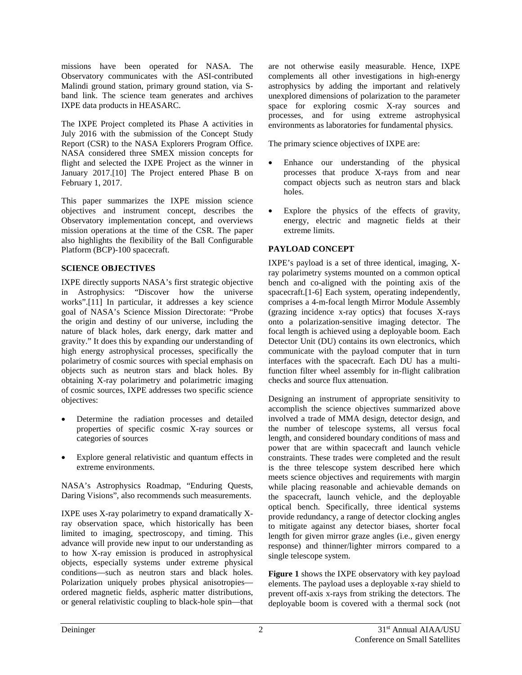missions have been operated for NASA. The Observatory communicates with the ASI-contributed Malindi ground station, primary ground station, via Sband link. The science team generates and archives IXPE data products in HEASARC.

The IXPE Project completed its Phase A activities in July 2016 with the submission of the Concept Study Report (CSR) to the NASA Explorers Program Office. NASA considered three SMEX mission concepts for flight and selected the IXPE Project as the winner in January 2017.[10] The Project entered Phase B on February 1, 2017.

This paper summarizes the IXPE mission science objectives and instrument concept, describes the Observatory implementation concept, and overviews mission operations at the time of the CSR. The paper also highlights the flexibility of the Ball Configurable Platform (BCP)-100 spacecraft.

### **SCIENCE OBJECTIVES**

IXPE directly supports NASA's first strategic objective in Astrophysics: "Discover how the universe works".[11] In particular, it addresses a key science goal of NASA's Science Mission Directorate: "Probe the origin and destiny of our universe, including the nature of black holes, dark energy, dark matter and gravity." It does this by expanding our understanding of high energy astrophysical processes, specifically the polarimetry of cosmic sources with special emphasis on objects such as neutron stars and black holes. By obtaining X-ray polarimetry and polarimetric imaging of cosmic sources, IXPE addresses two specific science objectives:

- Determine the radiation processes and detailed properties of specific cosmic X-ray sources or categories of sources
- Explore general relativistic and quantum effects in extreme environments.

NASA's Astrophysics Roadmap, "Enduring Quests, Daring Visions", also recommends such measurements.

IXPE uses X-ray polarimetry to expand dramatically Xray observation space, which historically has been limited to imaging, spectroscopy, and timing. This advance will provide new input to our understanding as to how X-ray emission is produced in astrophysical objects, especially systems under extreme physical conditions—such as neutron stars and black holes. Polarization uniquely probes physical anisotropies ordered magnetic fields, aspheric matter distributions, or general relativistic coupling to black-hole spin—that

are not otherwise easily measurable. Hence, IXPE complements all other investigations in high-energy astrophysics by adding the important and relatively unexplored dimensions of polarization to the parameter space for exploring cosmic X-ray sources and processes, and for using extreme astrophysical environments as laboratories for fundamental physics.

The primary science objectives of IXPE are:

- Enhance our understanding of the physical processes that produce X-rays from and near compact objects such as neutron stars and black holes.
- Explore the physics of the effects of gravity, energy, electric and magnetic fields at their extreme limits.

# **PAYLOAD CONCEPT**

IXPE's payload is a set of three identical, imaging, Xray polarimetry systems mounted on a common optical bench and co-aligned with the pointing axis of the spacecraft.[1-6] Each system, operating independently, comprises a 4-m-focal length Mirror Module Assembly (grazing incidence x-ray optics) that focuses X-rays onto a polarization-sensitive imaging detector. The focal length is achieved using a deployable boom. Each Detector Unit (DU) contains its own electronics, which communicate with the payload computer that in turn interfaces with the spacecraft. Each DU has a multifunction filter wheel assembly for in-flight calibration checks and source flux attenuation.

Designing an instrument of appropriate sensitivity to accomplish the science objectives summarized above involved a trade of MMA design, detector design, and the number of telescope systems, all versus focal length, and considered boundary conditions of mass and power that are within spacecraft and launch vehicle constraints. These trades were completed and the result is the three telescope system described here which meets science objectives and requirements with margin while placing reasonable and achievable demands on the spacecraft, launch vehicle, and the deployable optical bench. Specifically, three identical systems provide redundancy, a range of detector clocking angles to mitigate against any detector biases, shorter focal length for given mirror graze angles (i.e., given energy response) and thinner/lighter mirrors compared to a single telescope system.

**Figure 1** shows the IXPE observatory with key payload elements. The payload uses a deployable x-ray shield to prevent off-axis x-rays from striking the detectors. The deployable boom is covered with a thermal sock (not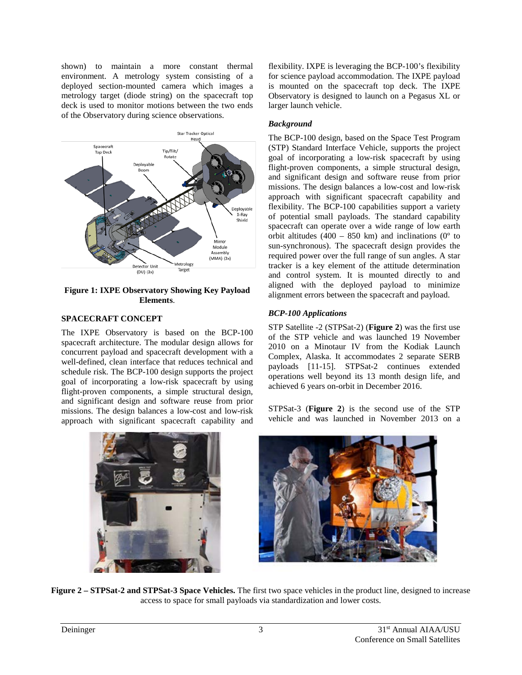shown) to maintain a more constant thermal environment. A metrology system consisting of a deployed section-mounted camera which images a metrology target (diode string) on the spacecraft top deck is used to monitor motions between the two ends of the Observatory during science observations.



**Figure 1: IXPE Observatory Showing Key Payload Elements**.

## **SPACECRAFT CONCEPT**

The IXPE Observatory is based on the BCP-100 spacecraft architecture. The modular design allows for concurrent payload and spacecraft development with a well-defined, clean interface that reduces technical and schedule risk. The BCP-100 design supports the project goal of incorporating a low-risk spacecraft by using flight-proven components, a simple structural design, and significant design and software reuse from prior missions. The design balances a low-cost and low-risk approach with significant spacecraft capability and flexibility. IXPE is leveraging the BCP-100's flexibility for science payload accommodation. The IXPE payload is mounted on the spacecraft top deck. The IXPE Observatory is designed to launch on a Pegasus XL or larger launch vehicle.

## *Background*

The BCP-100 design, based on the Space Test Program (STP) Standard Interface Vehicle, supports the project goal of incorporating a low-risk spacecraft by using flight-proven components, a simple structural design, and significant design and software reuse from prior missions. The design balances a low-cost and low-risk approach with significant spacecraft capability and flexibility. The BCP-100 capabilities support a variety of potential small payloads. The standard capability spacecraft can operate over a wide range of low earth orbit altitudes (400 – 850 km) and inclinations ( $0^{\circ}$  to sun-synchronous). The spacecraft design provides the required power over the full range of sun angles. A star tracker is a key element of the attitude determination and control system. It is mounted directly to and aligned with the deployed payload to minimize alignment errors between the spacecraft and payload.

# *BCP-100 Applications*

STP Satellite -2 (STPSat-2) (**Figure 2**) was the first use of the STP vehicle and was launched 19 November 2010 on a Minotaur IV from the Kodiak Launch Complex, Alaska. It accommodates 2 separate SERB payloads [11-15]. STPSat-2 continues extended operations well beyond its 13 month design life, and achieved 6 years on-orbit in December 2016.

STPSat-3 (**Figure 2**) is the second use of the STP vehicle and was launched in November 2013 on a





**Figure 2 – STPSat-2 and STPSat-3 Space Vehicles.** The first two space vehicles in the product line, designed to increase access to space for small payloads via standardization and lower costs.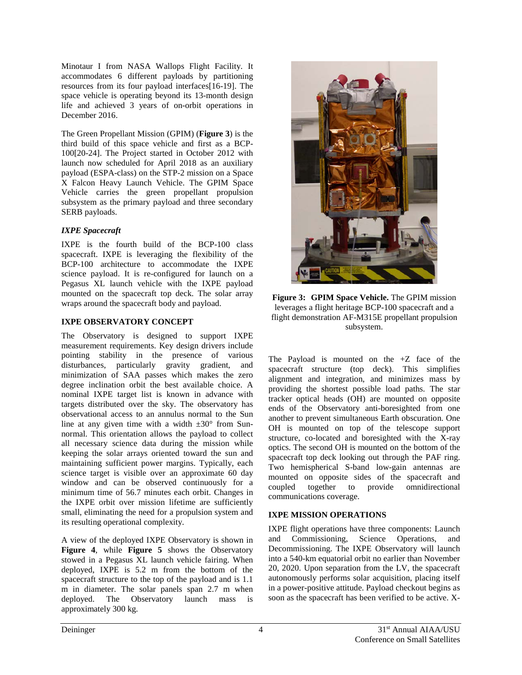Minotaur I from NASA Wallops Flight Facility. It accommodates 6 different payloads by partitioning resources from its four payload interfaces[16-19]. The space vehicle is operating beyond its 13-month design life and achieved 3 years of on-orbit operations in December 2016.

The Green Propellant Mission (GPIM) (**Figure 3**) is the third build of this space vehicle and first as a BCP-100[20-24]. The Project started in October 2012 with launch now scheduled for April 2018 as an auxiliary payload (ESPA-class) on the STP-2 mission on a Space X Falcon Heavy Launch Vehicle. The GPIM Space Vehicle carries the green propellant propulsion subsystem as the primary payload and three secondary SERB payloads.

## *IXPE Spacecraft*

IXPE is the fourth build of the BCP-100 class spacecraft. IXPE is leveraging the flexibility of the BCP-100 architecture to accommodate the IXPE science payload. It is re-configured for launch on a Pegasus XL launch vehicle with the IXPE payload mounted on the spacecraft top deck. The solar array wraps around the spacecraft body and payload.

## **IXPE OBSERVATORY CONCEPT**

The Observatory is designed to support IXPE measurement requirements. Key design drivers include pointing stability in the presence of various disturbances, particularly gravity gradient, and minimization of SAA passes which makes the zero degree inclination orbit the best available choice. A nominal IXPE target list is known in advance with targets distributed over the sky. The observatory has observational access to an annulus normal to the Sun line at any given time with a width  $\pm 30^{\circ}$  from Sunnormal. This orientation allows the payload to collect all necessary science data during the mission while keeping the solar arrays oriented toward the sun and maintaining sufficient power margins. Typically, each science target is visible over an approximate 60 day window and can be observed continuously for a minimum time of 56.7 minutes each orbit. Changes in the IXPE orbit over mission lifetime are sufficiently small, eliminating the need for a propulsion system and its resulting operational complexity.

A view of the deployed IXPE Observatory is shown in **Figure 4**, while **Figure 5** shows the Observatory stowed in a Pegasus XL launch vehicle fairing. When deployed, IXPE is 5.2 m from the bottom of the spacecraft structure to the top of the payload and is 1.1 m in diameter. The solar panels span 2.7 m when deployed. The Observatory launch mass is approximately 300 kg.



**Figure 3: GPIM Space Vehicle.** The GPIM mission leverages a flight heritage BCP-100 spacecraft and a flight demonstration AF-M315E propellant propulsion subsystem.

The Payload is mounted on the +Z face of the spacecraft structure (top deck). This simplifies alignment and integration, and minimizes mass by providing the shortest possible load paths. The star tracker optical heads (OH) are mounted on opposite ends of the Observatory anti-boresighted from one another to prevent simultaneous Earth obscuration. One OH is mounted on top of the telescope support structure, co-located and boresighted with the X-ray optics. The second OH is mounted on the bottom of the spacecraft top deck looking out through the PAF ring. Two hemispherical S-band low-gain antennas are mounted on opposite sides of the spacecraft and coupled together to provide omnidirectional communications coverage.

# **IXPE MISSION OPERATIONS**

IXPE flight operations have three components: Launch and Commissioning, Science Operations, and Decommissioning. The IXPE Observatory will launch into a 540-km equatorial orbit no earlier than November 20, 2020. Upon separation from the LV, the spacecraft autonomously performs solar acquisition, placing itself in a power-positive attitude. Payload checkout begins as soon as the spacecraft has been verified to be active. X-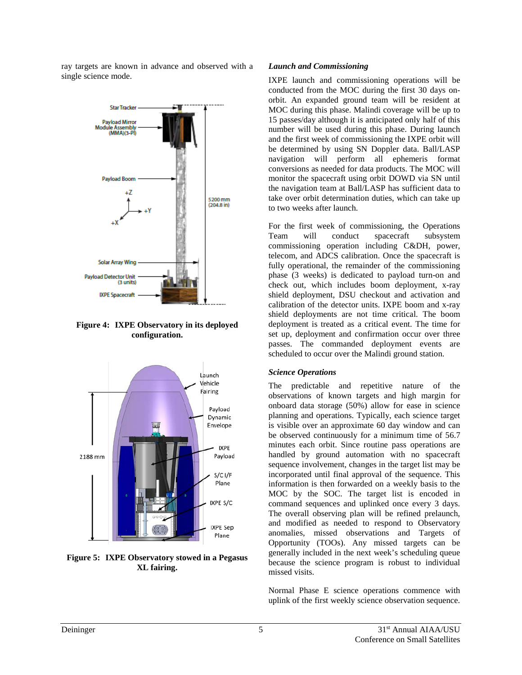ray targets are known in advance and observed with a single science mode.



**Figure 4: IXPE Observatory in its deployed configuration.**



**Figure 5: IXPE Observatory stowed in a Pegasus XL fairing.**

#### *Launch and Commissioning*

IXPE launch and commissioning operations will be conducted from the MOC during the first 30 days onorbit. An expanded ground team will be resident at MOC during this phase. Malindi coverage will be up to 15 passes/day although it is anticipated only half of this number will be used during this phase. During launch and the first week of commissioning the IXPE orbit will be determined by using SN Doppler data. Ball/LASP navigation will perform all ephemeris format conversions as needed for data products. The MOC will monitor the spacecraft using orbit DOWD via SN until the navigation team at Ball/LASP has sufficient data to take over orbit determination duties, which can take up to two weeks after launch.

For the first week of commissioning, the Operations Team will conduct spacecraft subsystem commissioning operation including C&DH, power, telecom, and ADCS calibration. Once the spacecraft is fully operational, the remainder of the commissioning phase (3 weeks) is dedicated to payload turn-on and check out, which includes boom deployment, x-ray shield deployment, DSU checkout and activation and calibration of the detector units. IXPE boom and x-ray shield deployments are not time critical. The boom deployment is treated as a critical event. The time for set up, deployment and confirmation occur over three passes. The commanded deployment events are scheduled to occur over the Malindi ground station.

#### *Science Operations*

The predictable and repetitive nature of the observations of known targets and high margin for onboard data storage (50%) allow for ease in science planning and operations. Typically, each science target is visible over an approximate 60 day window and can be observed continuously for a minimum time of 56.7 minutes each orbit. Since routine pass operations are handled by ground automation with no spacecraft sequence involvement, changes in the target list may be incorporated until final approval of the sequence. This information is then forwarded on a weekly basis to the MOC by the SOC. The target list is encoded in command sequences and uplinked once every 3 days. The overall observing plan will be refined prelaunch, and modified as needed to respond to Observatory anomalies, missed observations and Targets of Opportunity (TOOs). Any missed targets can be generally included in the next week's scheduling queue because the science program is robust to individual missed visits.

Normal Phase E science operations commence with uplink of the first weekly science observation sequence.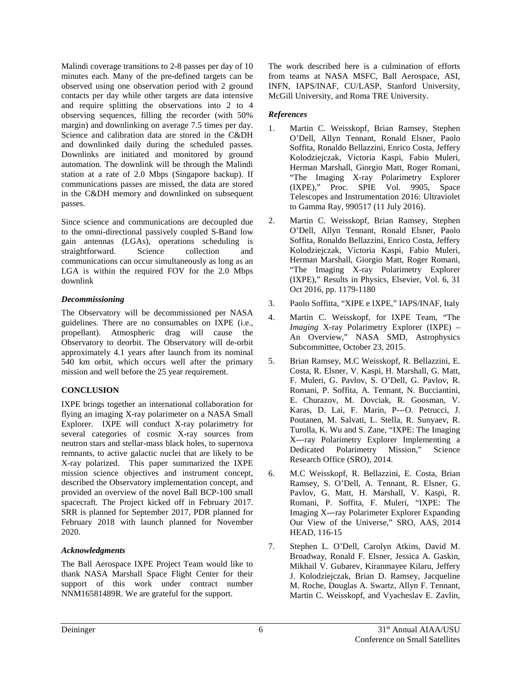Malindi coverage transitions to 2-8 passes per day of 10 minutes each. Many of the pre-defined targets can be observed using one observation period with 2 ground contacts per day while other targets are data intensive and require splitting the observations into 2 to 4 observing sequences, filling the recorder (with 50% margin) and downlinking on average 7.5 times per day. Science and calibration data are stored in the C&DH and downlinked daily during the scheduled passes. Downlinks are initiated and monitored by ground automation. The downlink will be through the Malindi station at a rate of 2.0 Mbps (Singapore backup). If communications passes are missed, the data are stored in the C&DH memory and downlinked on subsequent passes.

Since science and communications are decoupled due to the omni-directional passively coupled S-Band low gain antennas (LGAs), operations scheduling is straightforward. Science collection and communications can occur simultaneously as long as an LGA is within the required FOV for the 2.0 Mbps downlink

### *Decommissioning*

The Observatory will be decommissioned per NASA guidelines. There are no consumables on IXPE (i.e., propellant). Atmospheric drag will cause the Observatory to deorbit. The Observatory will de-orbit approximately 4.1 years after launch from its nominal 540 km orbit, which occurs well after the primary mission and well before the 25 year requirement.

# **CONCLUSION**

IXPE brings together an international collaboration for flying an imaging X-ray polarimeter on a NASA Small Explorer. IXPE will conduct X-ray polarimetry for several categories of cosmic X-ray sources from neutron stars and stellar-mass black holes, to supernova remnants, to active galactic nuclei that are likely to be X-ray polarized. This paper summarized the IXPE mission science objectives and instrument concept, described the Observatory implementation concept, and provided an overview of the novel Ball BCP-100 small spacecraft. The Project kicked off in February 2017. SRR is planned for September 2017, PDR planned for February 2018 with launch planned for November 2020.

### *Acknowledgments*

The Ball Aerospace IXPE Project Team would like to thank NASA Marshall Space Flight Center for their support of this work under contract number NNM16581489R. We are grateful for the support.

The work described here is a culmination of efforts from teams at NASA MSFC, Ball Aerospace, ASI, INFN, IAPS/INAF, CU/LASP, Stanford University, McGill University, and Roma TRE University.

# *References*

- 1. Martin C. Weisskopf, Brian Ramsey, Stephen O'Dell, Allyn Tennant, Ronald Elsner, Paolo Soffita, Ronaldo Bellazzini, Enrico Costa, Jeffery Kolodziejczak, Victoria Kaspi, Fabio Muleri, Herman Marshall, Giorgio Matt, Roger Romani, "The Imaging X-ray Polarimetry Explorer (IXPE)," Proc. SPIE Vol. 9905, Space Telescopes and Instrumentation 2016: Ultraviolet to Gamma Ray, 990517 (11 July 2016).
- 2. Martin C. Weisskopf, Brian Ramsey, Stephen O'Dell, Allyn Tennant, Ronald Elsner, Paolo Soffita, Ronaldo Bellazzini, Enrico Costa, Jeffery Kolodziejczak, Victoria Kaspi, Fabio Muleri, Herman Marshall, Giorgio Matt, Roger Romani, "The Imaging X-ray Polarimetry Explorer (IXPE)," Results in Physics, Elsevier, Vol. 6, 31 Oct 2016, pp. 1179-1180
- 3. Paolo Soffitta, "XIPE e IXPE," IAPS/INAF, Italy
- 4. Martin C. Weisskopf, for IXPE Team, "The *Imaging* X-ray Polarimetry Explorer (IXPE) – An Overview," NASA SMD, Astrophysics Subcommittee, October 23, 2015.
- 5. Brian Ramsey, M.C Weisskopf, R. Bellazzini, E. Costa, R. Elsner, V. Kaspi, H. Marshall, G. Matt, F. Muleri, G. Pavlov, S. O'Dell, G. Pavlov, R. Romani, P. Soffita, A. Tennant, N. Bucciantini, E. Churazov, M. Dovciak, R. Goosman, V. Karas, D. Lai, F. Marin, P--‐O. Petrucci, J. Poutanen, M. Salvati, L. Stella, R. Sunyaev, R. Turolla, K. Wu and S. Zane, "IXPE: The Imaging X---ray Polarimetry Explorer Implementing a<br>Dedicated Polarimetry Mission." Science Dedicated Polarimetry Mission," Research Office (SRO), 2014.
- 6. M.C Weisskopf, R. Bellazzini, E. Costa, Brian Ramsey, S. O'Dell, A. Tennant, R. Elsner, G. Pavlov, G. Matt, H. Marshall, V. Kaspi, R. Romani, P. Soffita, F. Muleri, "IXPE: The Imaging X--‐ray Polarimeter Explorer Expanding Our View of the Universe," SRO, AAS, 2014 HEAD, 116-15
- 7. Stephen L. O'Dell, Carolyn Atkins, David M. Broadway, Ronald F. Elsner, Jessica A. Gaskin, Mikhail V. Gubarev, Kiranmayee Kilaru, Jeffery J. Kolodziejczak, Brian D. Ramsey, Jacqueline M. Roche, Douglas A. Swartz, Allyn F. Tennant, Martin C. Weisskopf, and Vyacheslav E. Zavlin,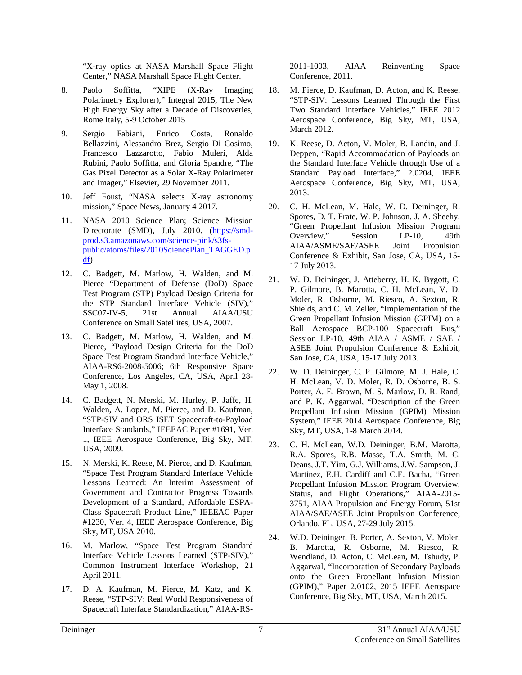"X-ray optics at NASA Marshall Space Flight Center," NASA Marshall Space Flight Center.

- 8. Paolo Soffitta, "XIPE (X-Ray Imaging Polarimetry Explorer)," Integral 2015, The New High Energy Sky after a Decade of Discoveries, Rome Italy, 5-9 October 2015
- 9. Sergio Fabiani, Enrico Costa, Ronaldo Bellazzini, Alessandro Brez, Sergio Di Cosimo, Francesco Lazzarotto, Fabio Muleri, Alda Rubini, Paolo Soffitta, and Gloria Spandre, "The Gas Pixel Detector as a Solar X-Ray Polarimeter and Imager," Elsevier, 29 November 2011.
- 10. Jeff Foust, "NASA selects X-ray astronomy mission," Space News, January 4 2017.
- 11. NASA 2010 Science Plan; Science Mission Directorate (SMD), July 2010. [\(https://smd](https://smd-prod.s3.amazonaws.com/science-pink/s3fs-public/atoms/files/2010SciencePlan_TAGGED.pdf)[prod.s3.amazonaws.com/science-pink/s3fs](https://smd-prod.s3.amazonaws.com/science-pink/s3fs-public/atoms/files/2010SciencePlan_TAGGED.pdf)[public/atoms/files/2010SciencePlan\\_TAGGED.p](https://smd-prod.s3.amazonaws.com/science-pink/s3fs-public/atoms/files/2010SciencePlan_TAGGED.pdf) [df\)](https://smd-prod.s3.amazonaws.com/science-pink/s3fs-public/atoms/files/2010SciencePlan_TAGGED.pdf)
- 12. C. Badgett, M. Marlow, H. Walden, and M. Pierce "Department of Defense (DoD) Space Test Program (STP) Payload Design Criteria for the STP Standard Interface Vehicle (SIV)," SSC07-IV-5, 21st Annual AIAA/USU Conference on Small Satellites, USA, 2007.
- 13. C. Badgett, M. Marlow, H. Walden, and M. Pierce, "Payload Design Criteria for the DoD Space Test Program Standard Interface Vehicle," AIAA-RS6-2008-5006; 6th Responsive Space Conference, Los Angeles, CA, USA, April 28- May 1, 2008.
- 14. C. Badgett, N. Merski, M. Hurley, P. Jaffe, H. Walden, A. Lopez, M. Pierce, and D. Kaufman, "STP-SIV and ORS ISET Spacecraft-to-Payload Interface Standards," IEEEAC Paper #1691, Ver. 1, IEEE Aerospace Conference, Big Sky, MT, USA, 2009.
- 15. N. Merski, K. Reese, M. Pierce, and D. Kaufman, "Space Test Program Standard Interface Vehicle Lessons Learned: An Interim Assessment of Government and Contractor Progress Towards Development of a Standard, Affordable ESPA-Class Spacecraft Product Line," IEEEAC Paper #1230, Ver. 4, IEEE Aerospace Conference, Big Sky, MT, USA 2010.
- 16. M. Marlow, "Space Test Program Standard Interface Vehicle Lessons Learned (STP-SIV)," Common Instrument Interface Workshop, 21 April 2011.
- 17. D. A. Kaufman, M. Pierce, M. Katz, and K. Reese, "STP-SIV: Real World Responsiveness of Spacecraft Interface Standardization," AIAA-RS-

2011-1003, AIAA Reinventing Space Conference, 2011.

- 18. M. Pierce, D. Kaufman, D. Acton, and K. Reese, "STP-SIV: Lessons Learned Through the First Two Standard Interface Vehicles," IEEE 2012 Aerospace Conference, Big Sky, MT, USA, March 2012.
- 19. K. Reese, D. Acton, V. Moler, B. Landin, and J. Deppen, "Rapid Accommodation of Payloads on the Standard Interface Vehicle through Use of a Standard Payload Interface," 2.0204, IEEE Aerospace Conference, Big Sky, MT, USA, 2013.
- 20. C. H. McLean, M. Hale, W. D. Deininger, R. Spores, D. T. Frate, W. P. Johnson, J. A. Sheehy, "Green Propellant Infusion Mission Program Overview," Session LP-10, 49th AIAA/ASME/SAE/ASEE Joint Propulsion Conference & Exhibit, San Jose, CA, USA, 15- 17 July 2013.
- 21. W. D. Deininger, J. Atteberry, H. K. Bygott, C. P. Gilmore, B. Marotta, C. H. McLean, V. D. Moler, R. Osborne, M. Riesco, A. Sexton, R. Shields, and C. M. Zeller, "Implementation of the Green Propellant Infusion Mission (GPIM) on a Ball Aerospace BCP-100 Spacecraft Bus," Session LP-10, 49th AIAA / ASME / SAE / ASEE Joint Propulsion Conference & Exhibit, San Jose, CA, USA, 15-17 July 2013.
- 22. W. D. Deininger, C. P. Gilmore, M. J. Hale, C. H. McLean, V. D. Moler, R. D. Osborne, B. S. Porter, A. E. Brown, M. S. Marlow, D. R. Rand, and P. K. Aggarwal, "Description of the Green Propellant Infusion Mission (GPIM) Mission System," IEEE 2014 Aerospace Conference, Big Sky, MT, USA, 1-8 March 2014.
- 23. C. H. McLean, W.D. Deininger, B.M. Marotta, R.A. Spores, R.B. Masse, T.A. Smith, M. C. Deans, J.T. Yim, G.J. Williams, J.W. Sampson, J. Martinez, E.H. Cardiff and C.E. Bacha, "Green Propellant Infusion Mission Program Overview, Status, and Flight Operations," AIAA-2015- 3751, AIAA Propulsion and Energy Forum, 51st AIAA/SAE/ASEE Joint Propulsion Conference, Orlando, FL, USA, 27-29 July 2015.
- 24. W.D. Deininger, B. Porter, A. Sexton, V. Moler, B. Marotta, R. Osborne, M. Riesco, R. Wendland, D. Acton, C. McLean, M. Tshudy, P. Aggarwal, "Incorporation of Secondary Payloads onto the Green Propellant Infusion Mission (GPIM)," Paper 2.0102, 2015 IEEE Aerospace Conference, Big Sky, MT, USA, March 2015.